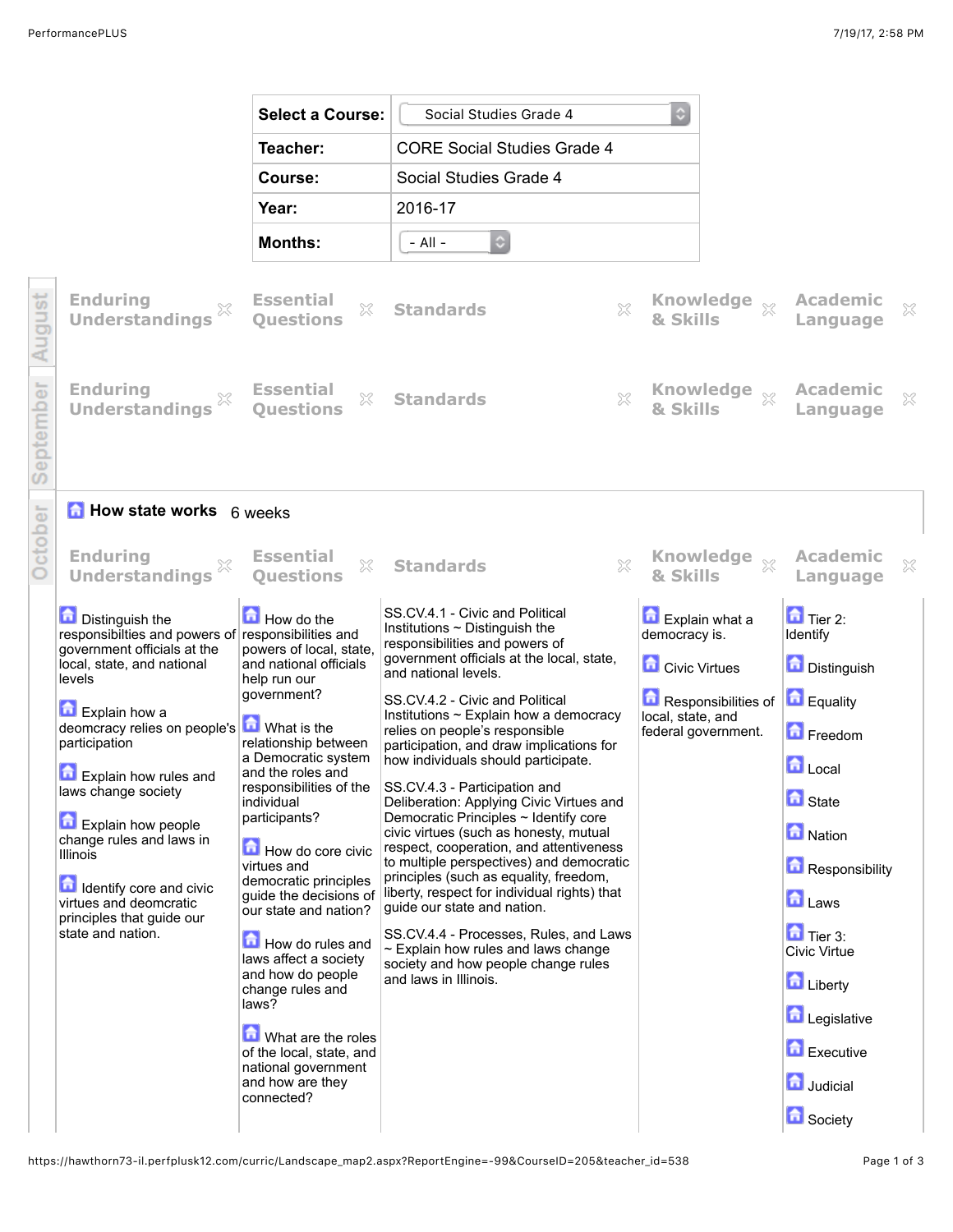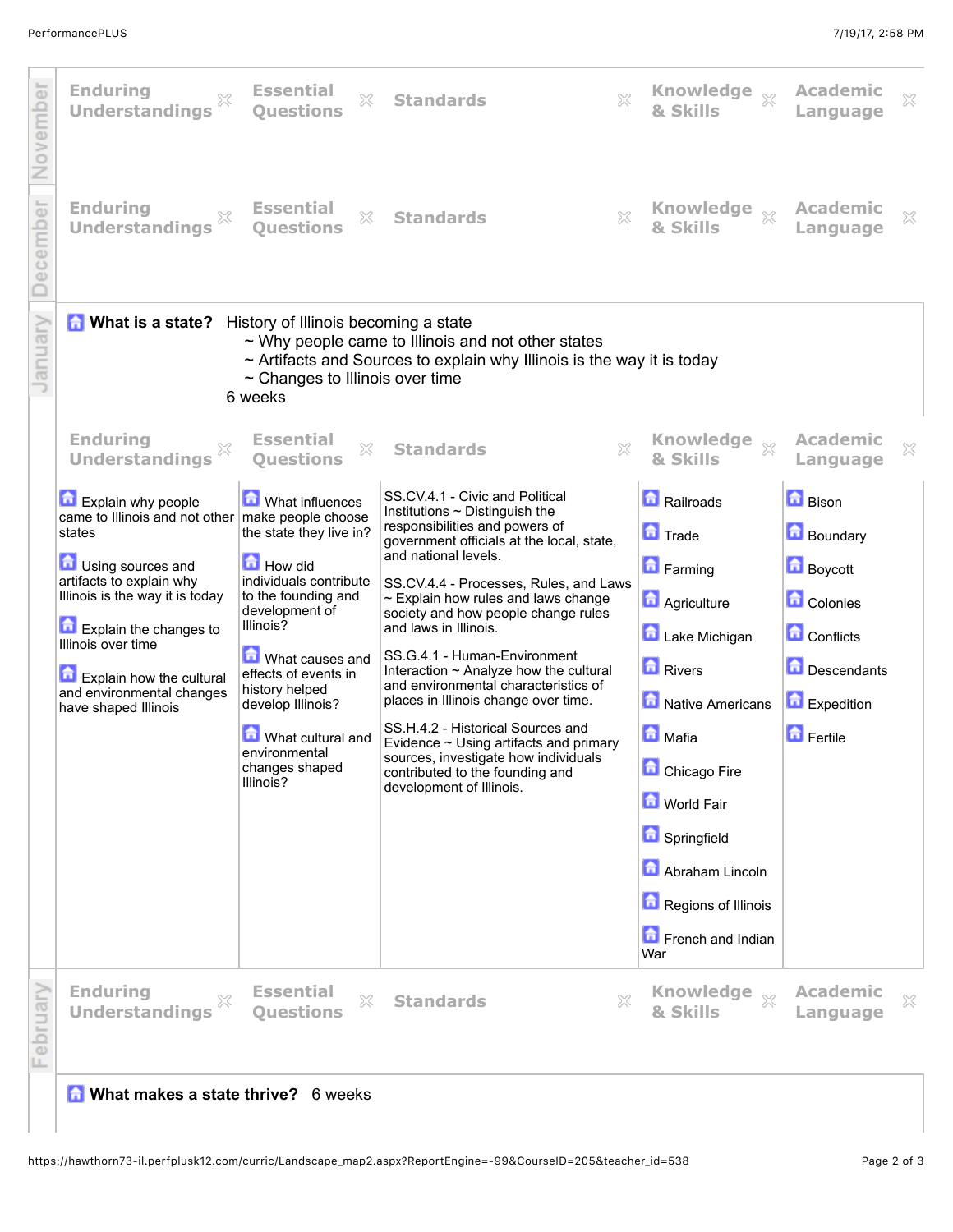

## **<b>A** What makes a state thrive? 6 weeks